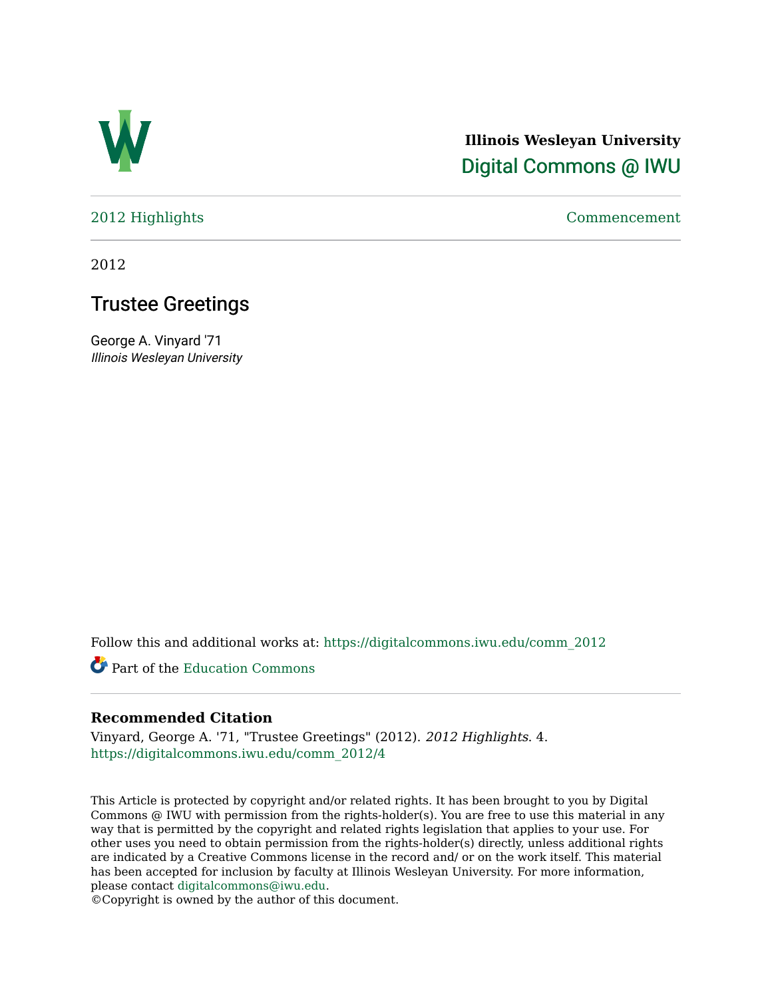

# **Illinois Wesleyan University**  [Digital Commons @ IWU](https://digitalcommons.iwu.edu/)

[2012 Highlights](https://digitalcommons.iwu.edu/comm_2012) [Commencement](https://digitalcommons.iwu.edu/commencement) 

2012

## Trustee Greetings

George A. Vinyard '71 Illinois Wesleyan University

Follow this and additional works at: [https://digitalcommons.iwu.edu/comm\\_2012](https://digitalcommons.iwu.edu/comm_2012?utm_source=digitalcommons.iwu.edu%2Fcomm_2012%2F4&utm_medium=PDF&utm_campaign=PDFCoverPages) 

Part of the [Education Commons](http://network.bepress.com/hgg/discipline/784?utm_source=digitalcommons.iwu.edu%2Fcomm_2012%2F4&utm_medium=PDF&utm_campaign=PDFCoverPages)

### **Recommended Citation**

Vinyard, George A. '71, "Trustee Greetings" (2012). 2012 Highlights. 4. [https://digitalcommons.iwu.edu/comm\\_2012/4](https://digitalcommons.iwu.edu/comm_2012/4?utm_source=digitalcommons.iwu.edu%2Fcomm_2012%2F4&utm_medium=PDF&utm_campaign=PDFCoverPages) 

This Article is protected by copyright and/or related rights. It has been brought to you by Digital Commons @ IWU with permission from the rights-holder(s). You are free to use this material in any way that is permitted by the copyright and related rights legislation that applies to your use. For other uses you need to obtain permission from the rights-holder(s) directly, unless additional rights are indicated by a Creative Commons license in the record and/ or on the work itself. This material has been accepted for inclusion by faculty at Illinois Wesleyan University. For more information, please contact [digitalcommons@iwu.edu.](mailto:digitalcommons@iwu.edu)

©Copyright is owned by the author of this document.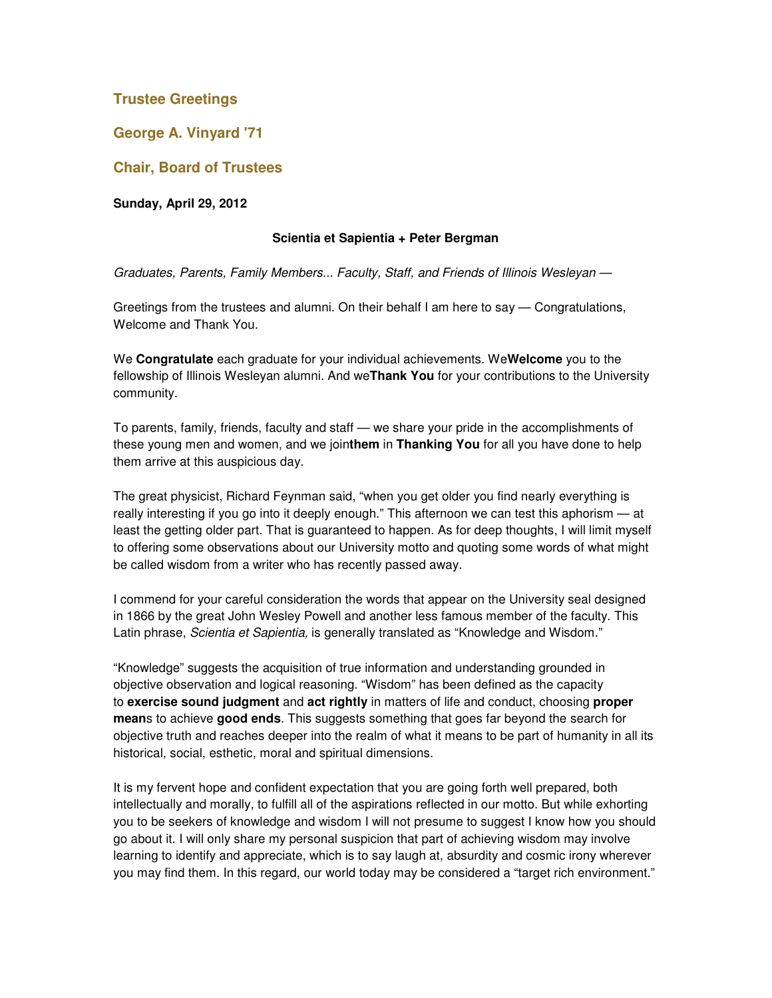## **Trustee Greetings**

**George A. Vinyard '71** 

**Chair, Board of Trustees** 

**Sunday, April 29, 2012**

#### **Scientia et Sapientia + Peter Bergman**

Graduates, Parents, Family Members... Faculty, Staff, and Friends of Illinois Wesleyan —

Greetings from the trustees and alumni. On their behalf I am here to say — Congratulations, Welcome and Thank You.

We **Congratulate** each graduate for your individual achievements. We**Welcome** you to the fellowship of Illinois Wesleyan alumni. And we**Thank You** for your contributions to the University community.

To parents, family, friends, faculty and staff — we share your pride in the accomplishments of these young men and women, and we join**them** in **Thanking You** for all you have done to help them arrive at this auspicious day.

The great physicist, Richard Feynman said, "when you get older you find nearly everything is really interesting if you go into it deeply enough." This afternoon we can test this aphorism — at least the getting older part. That is guaranteed to happen. As for deep thoughts, I will limit myself to offering some observations about our University motto and quoting some words of what might be called wisdom from a writer who has recently passed away.

I commend for your careful consideration the words that appear on the University seal designed in 1866 by the great John Wesley Powell and another less famous member of the faculty. This Latin phrase, Scientia et Sapientia, is generally translated as "Knowledge and Wisdom."

"Knowledge" suggests the acquisition of true information and understanding grounded in objective observation and logical reasoning. "Wisdom" has been defined as the capacity to **exercise sound judgment** and **act rightly** in matters of life and conduct, choosing **proper mean**s to achieve **good ends**. This suggests something that goes far beyond the search for objective truth and reaches deeper into the realm of what it means to be part of humanity in all its historical, social, esthetic, moral and spiritual dimensions.

It is my fervent hope and confident expectation that you are going forth well prepared, both intellectually and morally, to fulfill all of the aspirations reflected in our motto. But while exhorting you to be seekers of knowledge and wisdom I will not presume to suggest I know how you should go about it. I will only share my personal suspicion that part of achieving wisdom may involve learning to identify and appreciate, which is to say laugh at, absurdity and cosmic irony wherever you may find them. In this regard, our world today may be considered a "target rich environment."